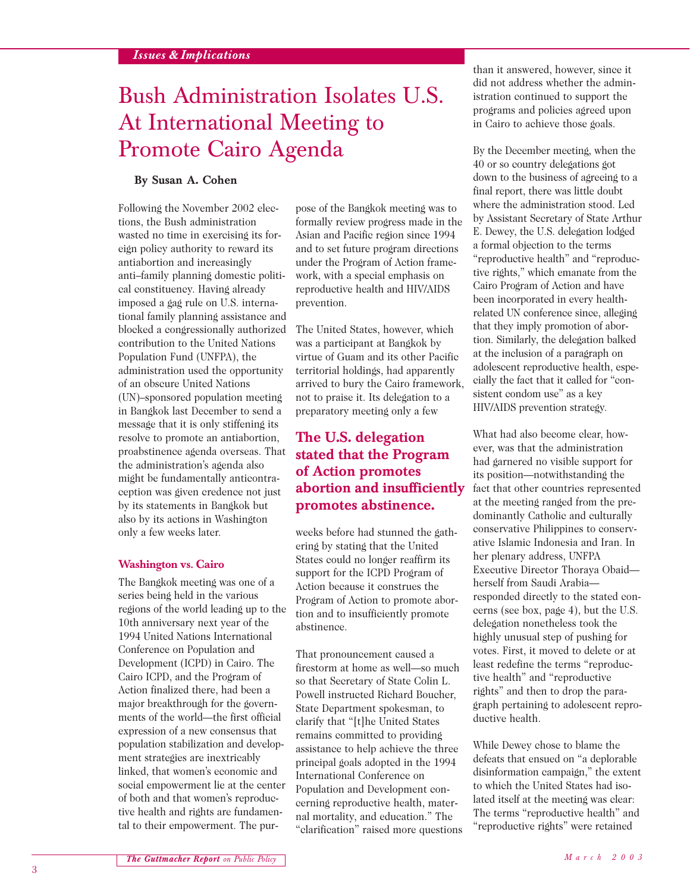# Bush Administration Isolates U.S. At International Meeting to Promote Cairo Agenda

#### **By Susan A. Cohen**

Following the November 2002 elections, the Bush administration wasted no time in exercising its foreign policy authority to reward its antiabortion and increasingly anti–family planning domestic political constituency. Having already imposed a gag rule on U.S. international family planning assistance and blocked a congressionally authorized contribution to the United Nations Population Fund (UNFPA), the administration used the opportunity of an obscure United Nations (UN)–sponsored population meeting in Bangkok last December to send a message that it is only stiffening its resolve to promote an antiabortion, proabstinence agenda overseas. That the administration's agenda also might be fundamentally anticontraception was given credence not just by its statements in Bangkok but also by its actions in Washington only a few weeks later.

#### **Washington vs. Cairo**

The Bangkok meeting was one of a series being held in the various regions of the world leading up to the 10th anniversary next year of the 1994 United Nations International Conference on Population and Development (ICPD) in Cairo. The Cairo ICPD, and the Program of Action finalized there, had been a major breakthrough for the governments of the world—the first official expression of a new consensus that population stabilization and development strategies are inextricably linked, that women's economic and social empowerment lie at the center of both and that women's reproductive health and rights are fundamental to their empowerment. The pur-

pose of the Bangkok meeting was to formally review progress made in the Asian and Pacific region since 1994 and to set future program directions under the Program of Action framework, with a special emphasis on reproductive health and HIV/AIDS prevention.

The United States, however, which was a participant at Bangkok by virtue of Guam and its other Pacific territorial holdings, had apparently arrived to bury the Cairo framework, not to praise it. Its delegation to a preparatory meeting only a few

## **The U.S. delegation stated that the Program of Action promotes abortion and insufficiently promotes abstinence.**

weeks before had stunned the gathering by stating that the United States could no longer reaffirm its support for the ICPD Program of Action because it construes the Program of Action to promote abortion and to insufficiently promote abstinence.

That pronouncement caused a firestorm at home as well—so much so that Secretary of State Colin L. Powell instructed Richard Boucher, State Department spokesman, to clarify that "[t]he United States remains committed to providing assistance to help achieve the three principal goals adopted in the 1994 International Conference on Population and Development concerning reproductive health, maternal mortality, and education." The "clarification" raised more questions

than it answered, however, since it did not address whether the administration continued to support the programs and policies agreed upon in Cairo to achieve those goals.

By the December meeting, when the 40 or so country delegations got down to the business of agreeing to a final report, there was little doubt where the administration stood. Led by Assistant Secretary of State Arthur E. Dewey, the U.S. delegation lodged a formal objection to the terms "reproductive health" and "reproductive rights," which emanate from the Cairo Program of Action and have been incorporated in every healthrelated UN conference since, alleging that they imply promotion of abortion. Similarly, the delegation balked at the inclusion of a paragraph on adolescent reproductive health, especially the fact that it called for "consistent condom use" as a key HIV/AIDS prevention strategy.

What had also become clear, however, was that the administration had garnered no visible support for its position—notwithstanding the fact that other countries represented at the meeting ranged from the predominantly Catholic and culturally conservative Philippines to conservative Islamic Indonesia and Iran. In her plenary address, UNFPA Executive Director Thoraya Obaid herself from Saudi Arabia responded directly to the stated concerns (see box, page 4), but the U.S. delegation nonetheless took the highly unusual step of pushing for votes. First, it moved to delete or at least redefine the terms "reproductive health" and "reproductive rights" and then to drop the paragraph pertaining to adolescent reproductive health.

While Dewey chose to blame the defeats that ensued on "a deplorable disinformation campaign," the extent to which the United States had isolated itself at the meeting was clear: The terms "reproductive health" and "reproductive rights" were retained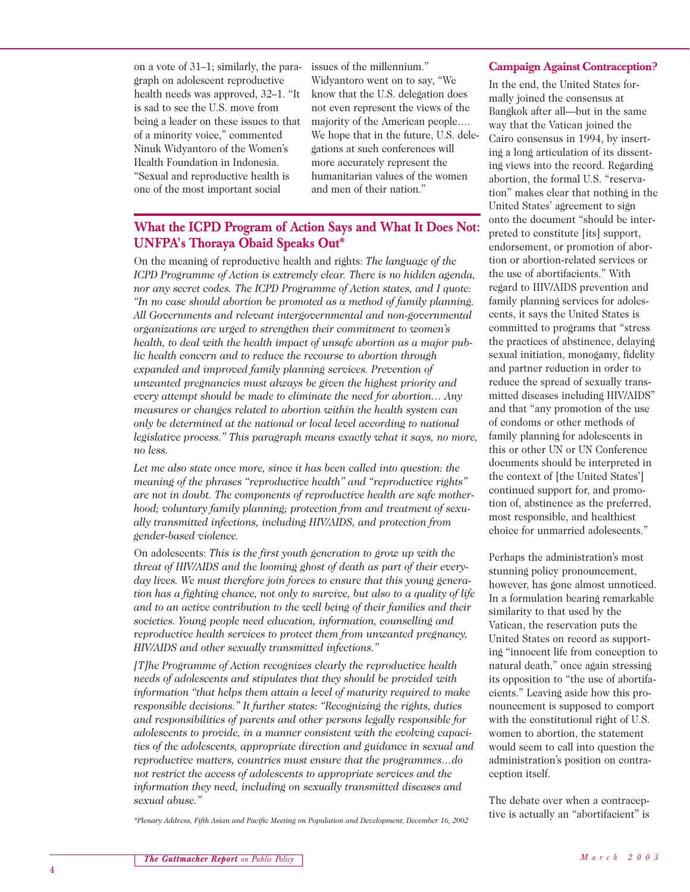on a vote of 31–1; similarly, the paragraph on adolescent reproductive health needs was approved, 32–1. "It is sad to see the U.S. move from being a leader on these issues to that of a minority voice," commented Ninuk Widyantoro of the Women's Health Foundation in Indonesia. "Sexual and reproductive health is one of the most important social

issues of the millennium." Widyantoro went on to say, "We know that the U.S. delegation does not even represent the views of the majority of the American people…. We hope that in the future, U.S. delegations at such conferences will more accurately represent the humanitarian values of the women and men of their nation."

### **What the ICPD Program of Action Says and What It Does Not: UNFPA's Thoraya Obaid Speaks Out\***

On the meaning of reproductive health and rights: *The language of the ICPD Programme of Action is extremely clear. There is no hidden agenda, nor any secret codes. The ICPD Programme of Action states, and I quote: "In no case should abortion be promoted as a method of family planning. All Governments and relevant intergovernmental and non-governmental organizations are urged to strengthen their commitment to women's health, to deal with the health impact of unsafe abortion as a major public health concern and to reduce the recourse to abortion through expanded and improved family planning services. Prevention of unwanted pregnancies must always be given the highest priority and every attempt should be made to eliminate the need for abortion… Any measures or changes related to abortion within the health system can only be determined at the national or local level according to national legislative process." This paragraph means exactly what it says, no more, no less.*

*Let me also state once more, since it has been called into question: the meaning of the phrases "reproductive health" and "reproductive rights" are not in doubt. The components of reproductive health are safe motherhood; voluntary family planning; protection from and treatment of sexually transmitted infections, including HIV/AIDS, and protection from gender-based violence.*

On adolescents: *This is the first youth generation to grow up with the threat of HIV/AIDS and the looming ghost of death as part of their everyday lives. We must therefore join forces to ensure that this young generation has a fighting chance, not only to survive, but also to a quality of life and to an active contribution to the well being of their families and their societies. Young people need education, information, counselling and reproductive health services to protect them from unwanted pregnancy, HIV/AIDS and other sexually transmitted infections."*

*[T]he Programme of Action recognizes clearly the reproductive health needs of adolescents and stipulates that they should be provided with information "that helps them attain a level of maturity required to make responsible decisions." It further states: "Recognizing the rights, duties and responsibilities of parents and other persons legally responsible for adolescents to provide, in a manner consistent with the evolving capacities of the adolescents, appropriate direction and guidance in sexual and reproductive matters, countries must ensure that the programmes…do not restrict the access of adolescents to appropriate services and the information they need, including on sexually transmitted diseases and sexual abuse."*

*\*Plenary Address, Fifth Asian and Pacific Meeting on Population and Development, December 16, 2002*

#### **Campaign Against Contraception?**

In the end, the United States formally joined the consensus at Bangkok after all—but in the same way that the Vatican joined the Cairo consensus in 1994, by inserting a long articulation of its dissenting views into the record. Regarding abortion, the formal U.S. "reservation" makes clear that nothing in the United States' agreement to sign onto the document "should be interpreted to constitute [its] support, endorsement, or promotion of abortion or abortion-related services or the use of abortifacients." With regard to HIV/AIDS prevention and family planning services for adolescents, it says the United States is committed to programs that "stress the practices of abstinence, delaying sexual initiation, monogamy, fidelity and partner reduction in order to reduce the spread of sexually transmitted diseases including HIV/AIDS" and that "any promotion of the use of condoms or other methods of family planning for adolescents in this or other UN or UN Conference documents should be interpreted in the context of [the United States'] continued support for, and promotion of, abstinence as the preferred, most responsible, and healthiest choice for unmarried adolescents."

Perhaps the administration's most stunning policy pronouncement, however, has gone almost unnoticed. In a formulation bearing remarkable similarity to that used by the Vatican, the reservation puts the United States on record as supporting "innocent life from conception to natural death," once again stressing its opposition to "the use of abortifacients." Leaving aside how this pronouncement is supposed to comport with the constitutional right of U.S. women to abortion, the statement would seem to call into question the administration's position on contraception itself.

The debate over when a contraceptive is actually an "abortifacient" is